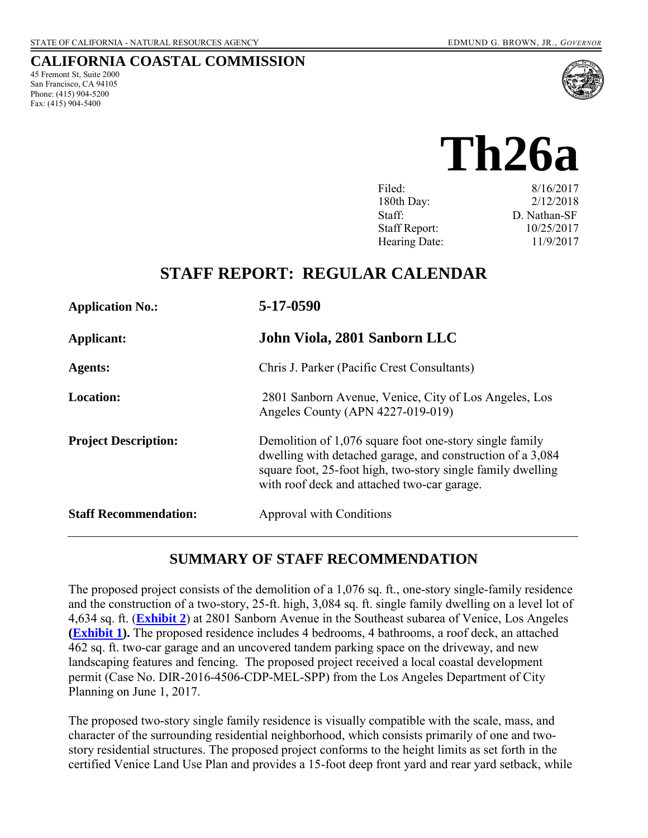#### **CALIFORNIA COASTAL COMMISSION**

45 Fremont St, Suite 2000 San Francisco, CA 94105 Phone: (415) 904-5200 Fax:  $(415)$  904-5400



**Th26a** 

| Filed:               | 8/16/2017    |
|----------------------|--------------|
| 180th Day:           | 2/12/2018    |
| Staff:               | D. Nathan-SF |
| <b>Staff Report:</b> | 10/25/2017   |
| Hearing Date:        | 11/9/2017    |

# **STAFF REPORT: REGULAR CALENDAR**

| <b>Application No.:</b>      | 5-17-0590                                                                                                                                                                                                                           |
|------------------------------|-------------------------------------------------------------------------------------------------------------------------------------------------------------------------------------------------------------------------------------|
| Applicant:                   | John Viola, 2801 Sanborn LLC                                                                                                                                                                                                        |
| <b>Agents:</b>               | Chris J. Parker (Pacific Crest Consultants)                                                                                                                                                                                         |
| <b>Location:</b>             | 2801 Sanborn Avenue, Venice, City of Los Angeles, Los<br>Angeles County (APN 4227-019-019)                                                                                                                                          |
| <b>Project Description:</b>  | Demolition of 1,076 square foot one-story single family<br>dwelling with detached garage, and construction of a 3,084<br>square foot, 25-foot high, two-story single family dwelling<br>with roof deck and attached two-car garage. |
| <b>Staff Recommendation:</b> | Approval with Conditions                                                                                                                                                                                                            |

### **SUMMARY OF STAFF RECOMMENDATION**

The proposed project consists of the demolition of a 1,076 sq. ft., one-story single-family residence and the construction of a two-story, 25-ft. high, 3,084 sq. ft. single family dwelling on a level lot of 4,634 sq. ft. (**[Exhibit 2](https://documents.coastal.ca.gov/reports/2017/11/th26a/th26a-11-2017-exhibits.pdf)**) at 2801 Sanborn Avenue in the Southeast subarea of Venice, Los Angeles **[\(Exhibit 1\)](https://documents.coastal.ca.gov/reports/2017/11/th26a/th26a-11-2017-exhibits.pdf).** The proposed residence includes 4 bedrooms, 4 bathrooms, a roof deck, an attached 462 sq. ft. two-car garage and an uncovered tandem parking space on the driveway, and new landscaping features and fencing. The proposed project received a local coastal development permit (Case No. DIR-2016-4506-CDP-MEL-SPP) from the Los Angeles Department of City Planning on June 1, 2017.

The proposed two-story single family residence is visually compatible with the scale, mass, and character of the surrounding residential neighborhood, which consists primarily of one and twostory residential structures. The proposed project conforms to the height limits as set forth in the certified Venice Land Use Plan and provides a 15-foot deep front yard and rear yard setback, while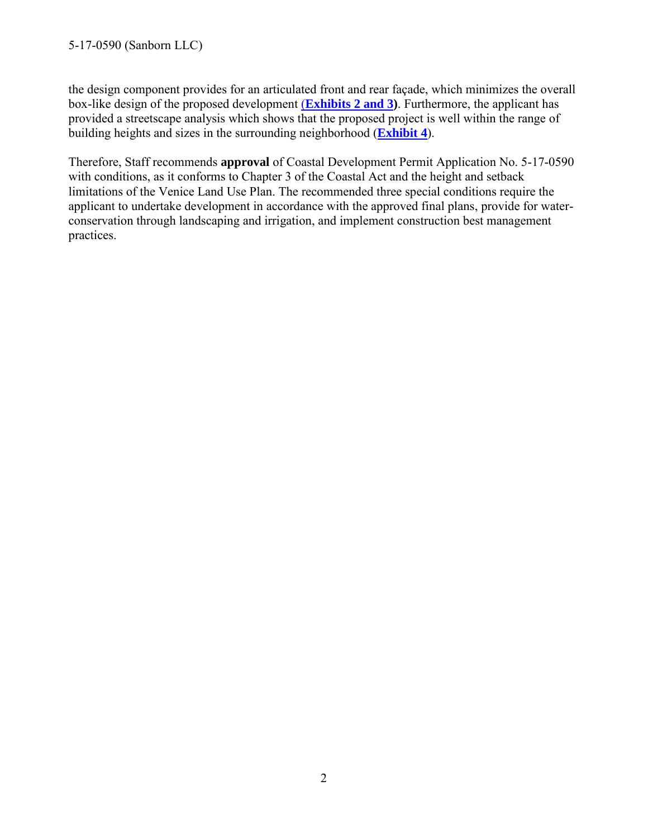the design component provides for an articulated front and rear façade, which minimizes the overall box-like design of the proposed development (**[Exhibits 2 and 3\)](https://documents.coastal.ca.gov/reports/2017/11/th26a/th26a-11-2017-exhibits.pdf)**. Furthermore, the applicant has provided a streetscape analysis which shows that the proposed project is well within the range of building heights and sizes in the surrounding neighborhood (**[Exhibit 4](https://documents.coastal.ca.gov/reports/2017/11/th26a/th26a-11-2017-exhibits.pdf)**).

Therefore, Staff recommends **approval** of Coastal Development Permit Application No. 5-17-0590 with conditions, as it conforms to Chapter 3 of the Coastal Act and the height and setback limitations of the Venice Land Use Plan. The recommended three special conditions require the applicant to undertake development in accordance with the approved final plans, provide for waterconservation through landscaping and irrigation, and implement construction best management practices.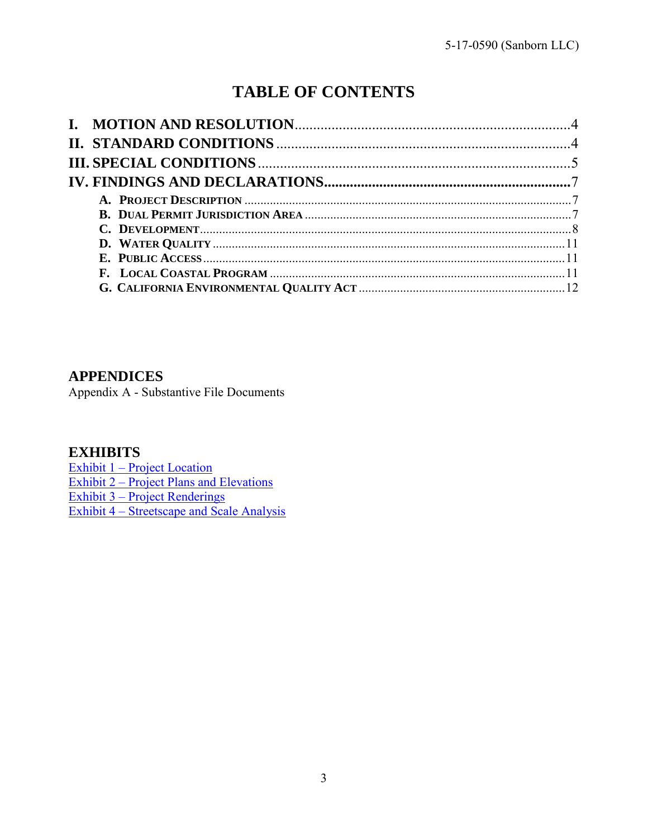# **TABLE OF CONTENTS**

### **APPENDICES**

Appendix A - Substantive File Documents

### **EXHIBITS**

[Exhibit 1 – Project Location](https://documents.coastal.ca.gov/reports/2017/11/th26a/th26a-11-2017-exhibits.pdf) Exhibit 2 – [Project Plans and Elevations](https://documents.coastal.ca.gov/reports/2017/11/th26a/th26a-11-2017-exhibits.pdf) Exhibit 3 – [Project Renderings](https://documents.coastal.ca.gov/reports/2017/11/th26a/th26a-11-2017-exhibits.pdf) [Exhibit 4 – Streetscape and Scale Analysis](https://documents.coastal.ca.gov/reports/2017/11/th26a/th26a-11-2017-exhibits.pdf)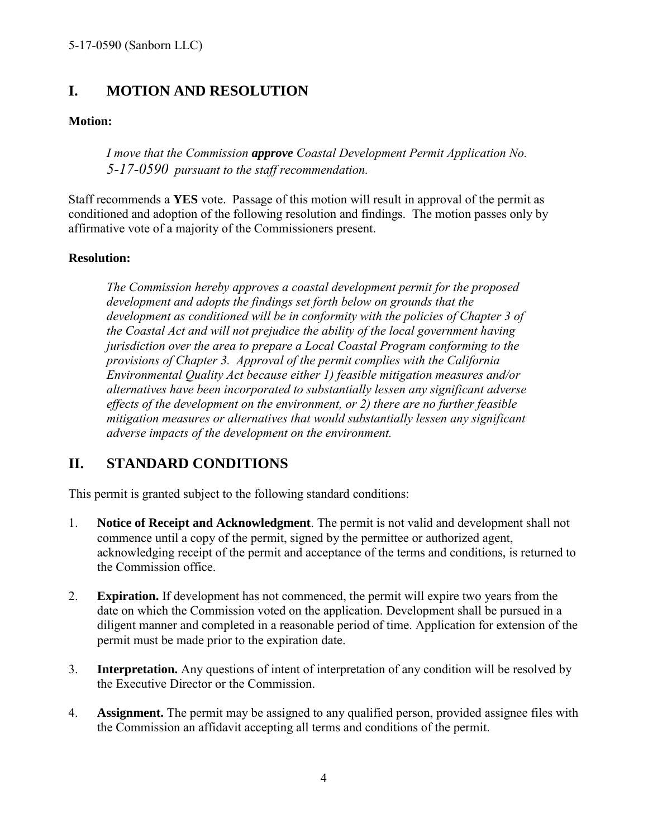### <span id="page-3-0"></span>**I. MOTION AND RESOLUTION**

#### **Motion:**

*I move that the Commission approve Coastal Development Permit Application No. 5-17-0590 pursuant to the staff recommendation.*

Staff recommends a **YES** vote. Passage of this motion will result in approval of the permit as conditioned and adoption of the following resolution and findings. The motion passes only by affirmative vote of a majority of the Commissioners present.

#### **Resolution:**

*The Commission hereby approves a coastal development permit for the proposed development and adopts the findings set forth below on grounds that the development as conditioned will be in conformity with the policies of Chapter 3 of the Coastal Act and will not prejudice the ability of the local government having jurisdiction over the area to prepare a Local Coastal Program conforming to the provisions of Chapter 3. Approval of the permit complies with the California Environmental Quality Act because either 1) feasible mitigation measures and/or alternatives have been incorporated to substantially lessen any significant adverse effects of the development on the environment, or 2) there are no further feasible mitigation measures or alternatives that would substantially lessen any significant adverse impacts of the development on the environment.* 

### <span id="page-3-1"></span>**II. STANDARD CONDITIONS**

This permit is granted subject to the following standard conditions:

- 1. **Notice of Receipt and Acknowledgment**. The permit is not valid and development shall not commence until a copy of the permit, signed by the permittee or authorized agent, acknowledging receipt of the permit and acceptance of the terms and conditions, is returned to the Commission office.
- 2. **Expiration.** If development has not commenced, the permit will expire two years from the date on which the Commission voted on the application. Development shall be pursued in a diligent manner and completed in a reasonable period of time. Application for extension of the permit must be made prior to the expiration date.
- 3. **Interpretation.** Any questions of intent of interpretation of any condition will be resolved by the Executive Director or the Commission.
- 4. **Assignment.** The permit may be assigned to any qualified person, provided assignee files with the Commission an affidavit accepting all terms and conditions of the permit.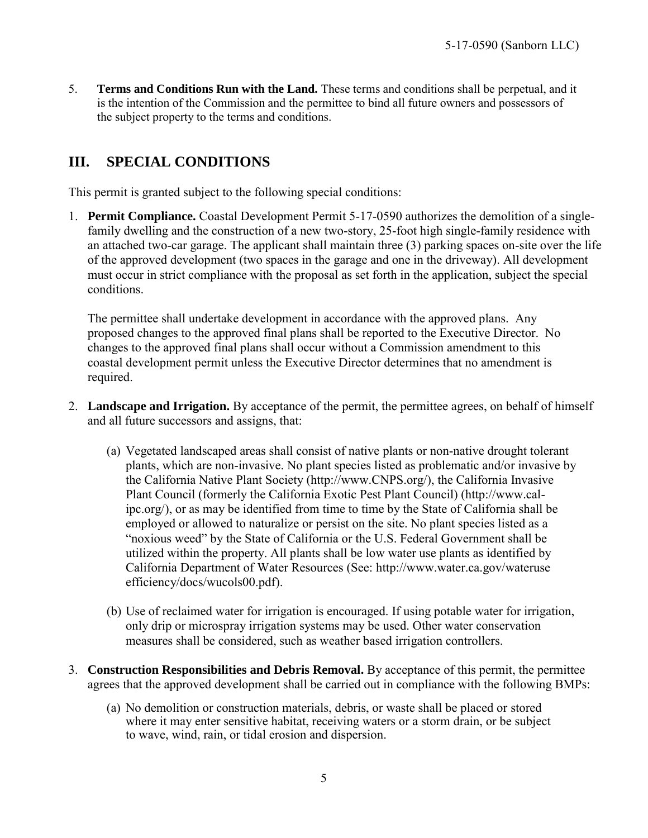5. **Terms and Conditions Run with the Land.** These terms and conditions shall be perpetual, and it is the intention of the Commission and the permittee to bind all future owners and possessors of the subject property to the terms and conditions.

# <span id="page-4-0"></span>**III. SPECIAL CONDITIONS**

This permit is granted subject to the following special conditions:

<span id="page-4-1"></span>1. **Permit Compliance.** Coastal Development Permit 5-17-0590 authorizes the demolition of a singlefamily dwelling and the construction of a new two-story, 25-foot high single-family residence with an attached two-car garage. The applicant shall maintain three (3) parking spaces on-site over the life of the approved development (two spaces in the garage and one in the driveway). All development must occur in strict compliance with the proposal as set forth in the application, subject the special conditions.

The permittee shall undertake development in accordance with the approved plans. Any proposed changes to the approved final plans shall be reported to the Executive Director. No changes to the approved final plans shall occur without a Commission amendment to this coastal development permit unless the Executive Director determines that no amendment is required.

- <span id="page-4-2"></span>2. **Landscape and Irrigation.** By acceptance of the permit, the permittee agrees, on behalf of himself and all future successors and assigns, that:
	- (a) Vegetated landscaped areas shall consist of native plants or non-native drought tolerant plants, which are non-invasive. No plant species listed as problematic and/or invasive by the California Native Plant Society (http://www.CNPS.org/), the California Invasive Plant Council (formerly the California Exotic Pest Plant Council) (http://www.calipc.org/), or as may be identified from time to time by the State of California shall be employed or allowed to naturalize or persist on the site. No plant species listed as a "noxious weed" by the State of California or the U.S. Federal Government shall be utilized within the property. All plants shall be low water use plants as identified by California Department of Water Resources (See: http://www.water.ca.gov/wateruse efficiency/docs/wucols00.pdf).
	- (b) Use of reclaimed water for irrigation is encouraged. If using potable water for irrigation, only drip or microspray irrigation systems may be used. Other water conservation measures shall be considered, such as weather based irrigation controllers.
- <span id="page-4-3"></span>3. **Construction Responsibilities and Debris Removal.** By acceptance of this permit, the permittee agrees that the approved development shall be carried out in compliance with the following BMPs:
	- (a) No demolition or construction materials, debris, or waste shall be placed or stored where it may enter sensitive habitat, receiving waters or a storm drain, or be subject to wave, wind, rain, or tidal erosion and dispersion.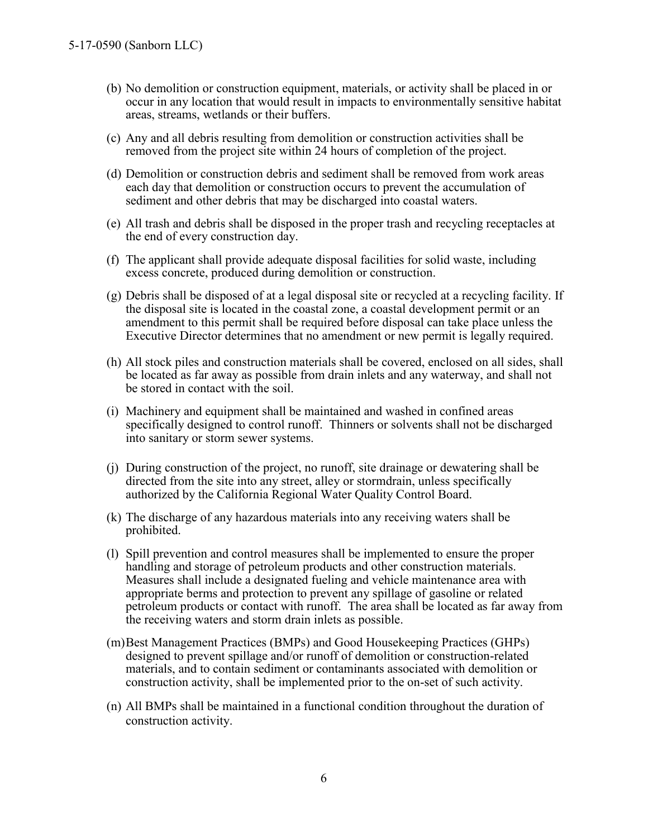- (b) No demolition or construction equipment, materials, or activity shall be placed in or occur in any location that would result in impacts to environmentally sensitive habitat areas, streams, wetlands or their buffers.
- (c) Any and all debris resulting from demolition or construction activities shall be removed from the project site within 24 hours of completion of the project.
- (d) Demolition or construction debris and sediment shall be removed from work areas each day that demolition or construction occurs to prevent the accumulation of sediment and other debris that may be discharged into coastal waters.
- (e) All trash and debris shall be disposed in the proper trash and recycling receptacles at the end of every construction day.
- (f) The applicant shall provide adequate disposal facilities for solid waste, including excess concrete, produced during demolition or construction.
- (g) Debris shall be disposed of at a legal disposal site or recycled at a recycling facility. If the disposal site is located in the coastal zone, a coastal development permit or an amendment to this permit shall be required before disposal can take place unless the Executive Director determines that no amendment or new permit is legally required.
- (h) All stock piles and construction materials shall be covered, enclosed on all sides, shall be located as far away as possible from drain inlets and any waterway, and shall not be stored in contact with the soil.
- (i) Machinery and equipment shall be maintained and washed in confined areas specifically designed to control runoff. Thinners or solvents shall not be discharged into sanitary or storm sewer systems.
- (j) During construction of the project, no runoff, site drainage or dewatering shall be directed from the site into any street, alley or stormdrain, unless specifically authorized by the California Regional Water Quality Control Board.
- (k) The discharge of any hazardous materials into any receiving waters shall be prohibited.
- (l) Spill prevention and control measures shall be implemented to ensure the proper handling and storage of petroleum products and other construction materials. Measures shall include a designated fueling and vehicle maintenance area with appropriate berms and protection to prevent any spillage of gasoline or related petroleum products or contact with runoff. The area shall be located as far away from the receiving waters and storm drain inlets as possible.
- (m)Best Management Practices (BMPs) and Good Housekeeping Practices (GHPs) designed to prevent spillage and/or runoff of demolition or construction-related materials, and to contain sediment or contaminants associated with demolition or construction activity, shall be implemented prior to the on-set of such activity.
- (n) All BMPs shall be maintained in a functional condition throughout the duration of construction activity.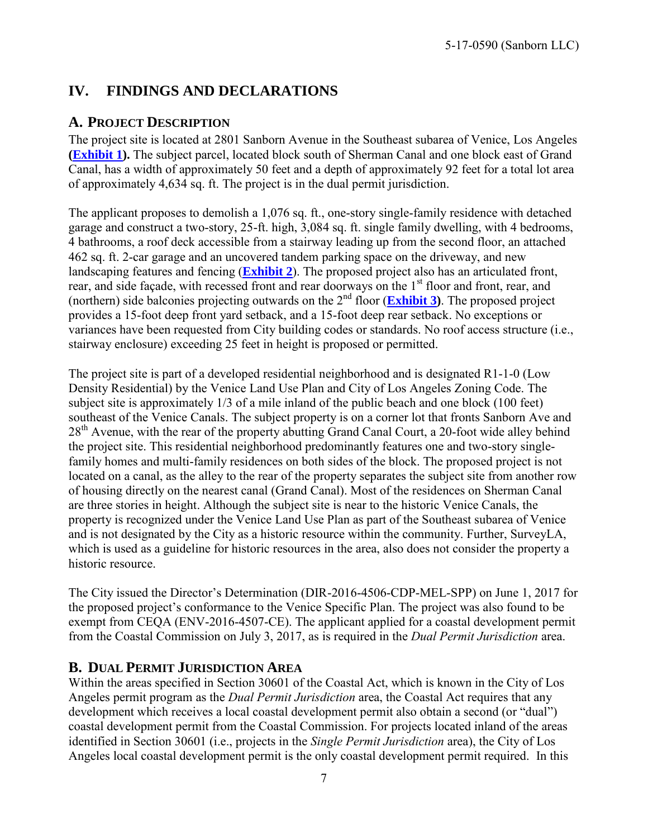## <span id="page-6-0"></span>**IV. FINDINGS AND DECLARATIONS**

### <span id="page-6-1"></span>**A. PROJECT DESCRIPTION**

The project site is located at 2801 Sanborn Avenue in the Southeast subarea of Venice, Los Angeles **[\(Exhibit 1\)](https://documents.coastal.ca.gov/reports/2017/11/th26a/th26a-11-2017-exhibits.pdf).** The subject parcel, located block south of Sherman Canal and one block east of Grand Canal, has a width of approximately 50 feet and a depth of approximately 92 feet for a total lot area of approximately 4,634 sq. ft. The project is in the dual permit jurisdiction.

The applicant proposes to demolish a 1,076 sq. ft., one-story single-family residence with detached garage and construct a two-story, 25-ft. high, 3,084 sq. ft. single family dwelling, with 4 bedrooms, 4 bathrooms, a roof deck accessible from a stairway leading up from the second floor, an attached 462 sq. ft. 2-car garage and an uncovered tandem parking space on the driveway, and new landscaping features and fencing (**[Exhibit 2](https://documents.coastal.ca.gov/reports/2017/11/th26a/th26a-11-2017-exhibits.pdf)**). The proposed project also has an articulated front, rear, and side façade, with recessed front and rear doorways on the 1<sup>st</sup> floor and front, rear, and (northern) side balconies projecting outwards on the 2<sup>nd</sup> floor (**Exhibit 3**). The proposed project provides a 15-foot deep front yard setback, and a 15-foot deep rear setback. No exceptions or variances have been requested from City building codes or standards. No roof access structure (i.e., stairway enclosure) exceeding 25 feet in height is proposed or permitted.

The project site is part of a developed residential neighborhood and is designated R1-1-0 (Low Density Residential) by the Venice Land Use Plan and City of Los Angeles Zoning Code. The subject site is approximately 1/3 of a mile inland of the public beach and one block (100 feet) southeast of the Venice Canals. The subject property is on a corner lot that fronts Sanborn Ave and  $28<sup>th</sup>$  Avenue, with the rear of the property abutting Grand Canal Court, a 20-foot wide alley behind the project site. This residential neighborhood predominantly features one and two-story singlefamily homes and multi-family residences on both sides of the block. The proposed project is not located on a canal, as the alley to the rear of the property separates the subject site from another row of housing directly on the nearest canal (Grand Canal). Most of the residences on Sherman Canal are three stories in height. Although the subject site is near to the historic Venice Canals, the property is recognized under the Venice Land Use Plan as part of the Southeast subarea of Venice and is not designated by the City as a historic resource within the community. Further, SurveyLA, which is used as a guideline for historic resources in the area, also does not consider the property a historic resource.

The City issued the Director's Determination (DIR-2016-4506-CDP-MEL-SPP) on June 1, 2017 for the proposed project's conformance to the Venice Specific Plan. The project was also found to be exempt from CEQA (ENV-2016-4507-CE). The applicant applied for a coastal development permit from the Coastal Commission on July 3, 2017, as is required in the *Dual Permit Jurisdiction* area.

### <span id="page-6-2"></span>**B. DUAL PERMIT JURISDICTION AREA**

Within the areas specified in Section 30601 of the Coastal Act, which is known in the City of Los Angeles permit program as the *Dual Permit Jurisdiction* area, the Coastal Act requires that any development which receives a local coastal development permit also obtain a second (or "dual") coastal development permit from the Coastal Commission. For projects located inland of the areas identified in Section 30601 (i.e., projects in the *Single Permit Jurisdiction* area), the City of Los Angeles local coastal development permit is the only coastal development permit required. In this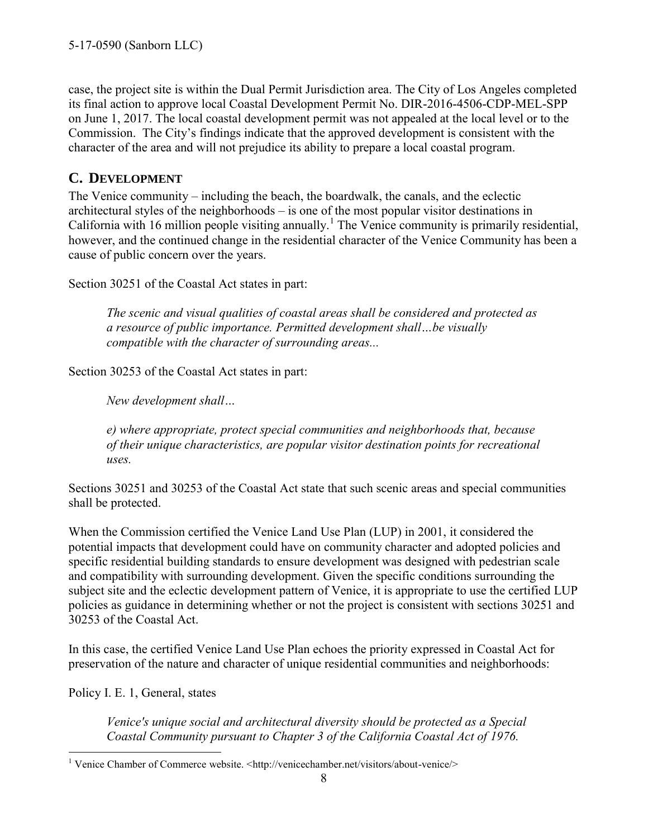case, the project site is within the Dual Permit Jurisdiction area. The City of Los Angeles completed its final action to approve local Coastal Development Permit No. DIR-2016-4506-CDP-MEL-SPP on June 1, 2017. The local coastal development permit was not appealed at the local level or to the Commission. The City's findings indicate that the approved development is consistent with the character of the area and will not prejudice its ability to prepare a local coastal program.

### <span id="page-7-0"></span>**C. DEVELOPMENT**

The Venice community – including the beach, the boardwalk, the canals, and the eclectic architectural styles of the neighborhoods – is one of the most popular visitor destinations in California with 16 million people visiting annually.<sup>1</sup> The Venice community is primarily residential, however, and the continued change in the residential character of the Venice Community has been a cause of public concern over the years.

Section 30251 of the Coastal Act states in part:

*The scenic and visual qualities of coastal areas shall be considered and protected as a resource of public importance. Permitted development shall…be visually compatible with the character of surrounding areas...*

Section 30253 of the Coastal Act states in part:

*New development shall…* 

*e) where appropriate, protect special communities and neighborhoods that, because of their unique characteristics, are popular visitor destination points for recreational uses.* 

Sections 30251 and 30253 of the Coastal Act state that such scenic areas and special communities shall be protected.

When the Commission certified the Venice Land Use Plan (LUP) in 2001, it considered the potential impacts that development could have on community character and adopted policies and specific residential building standards to ensure development was designed with pedestrian scale and compatibility with surrounding development. Given the specific conditions surrounding the subject site and the eclectic development pattern of Venice, it is appropriate to use the certified LUP policies as guidance in determining whether or not the project is consistent with sections 30251 and 30253 of the Coastal Act.

In this case, the certified Venice Land Use Plan echoes the priority expressed in Coastal Act for preservation of the nature and character of unique residential communities and neighborhoods:

Policy I. E. 1, General, states

*Venice's unique social and architectural diversity should be protected as a Special Coastal Community pursuant to Chapter 3 of the California Coastal Act of 1976.* 

 1 Venice Chamber of Commerce website. <http://venicechamber.net/visitors/about-venice/>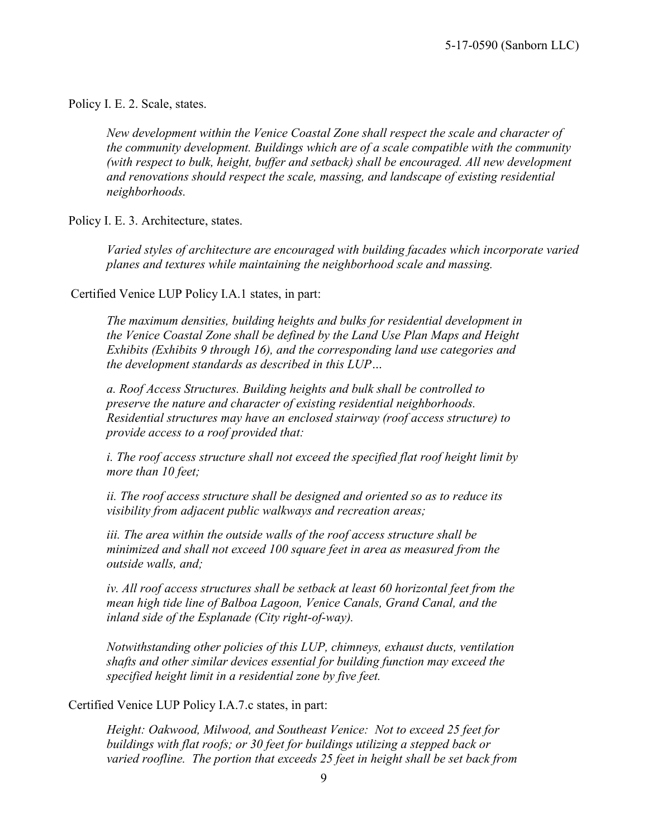Policy I. E. 2. Scale, states.

*New development within the Venice Coastal Zone shall respect the scale and character of the community development. Buildings which are of a scale compatible with the community (with respect to bulk, height, buffer and setback) shall be encouraged. All new development and renovations should respect the scale, massing, and landscape of existing residential neighborhoods.* 

Policy I. E. 3. Architecture, states.

Varied styles of architecture are encouraged with building facades which incorporate varied *planes and textures while maintaining the neighborhood scale and massing.* 

Certified Venice LUP Policy I.A.1 states, in part:

*The maximum densities, building heights and bulks for residential development in the Venice Coastal Zone shall be defined by the Land Use Plan Maps and Height Exhibits (Exhibits 9 through 16), and the corresponding land use categories and the development standards as described in this LUP…* 

*a. Roof Access Structures. Building heights and bulk shall be controlled to preserve the nature and character of existing residential neighborhoods. Residential structures may have an enclosed stairway (roof access structure) to provide access to a roof provided that:* 

*i. The roof access structure shall not exceed the specified flat roof height limit by more than 10 feet;* 

*ii. The roof access structure shall be designed and oriented so as to reduce its visibility from adjacent public walkways and recreation areas;* 

*iii. The area within the outside walls of the roof access structure shall be minimized and shall not exceed 100 square feet in area as measured from the outside walls, and;* 

*iv. All roof access structures shall be setback at least 60 horizontal feet from the mean high tide line of Balboa Lagoon, Venice Canals, Grand Canal, and the inland side of the Esplanade (City right-of-way).* 

*Notwithstanding other policies of this LUP, chimneys, exhaust ducts, ventilation shafts and other similar devices essential for building function may exceed the specified height limit in a residential zone by five feet.* 

Certified Venice LUP Policy I.A.7.c states, in part:

*Height: Oakwood, Milwood, and Southeast Venice: Not to exceed 25 feet for buildings with flat roofs; or 30 feet for buildings utilizing a stepped back or varied roofline. The portion that exceeds 25 feet in height shall be set back from*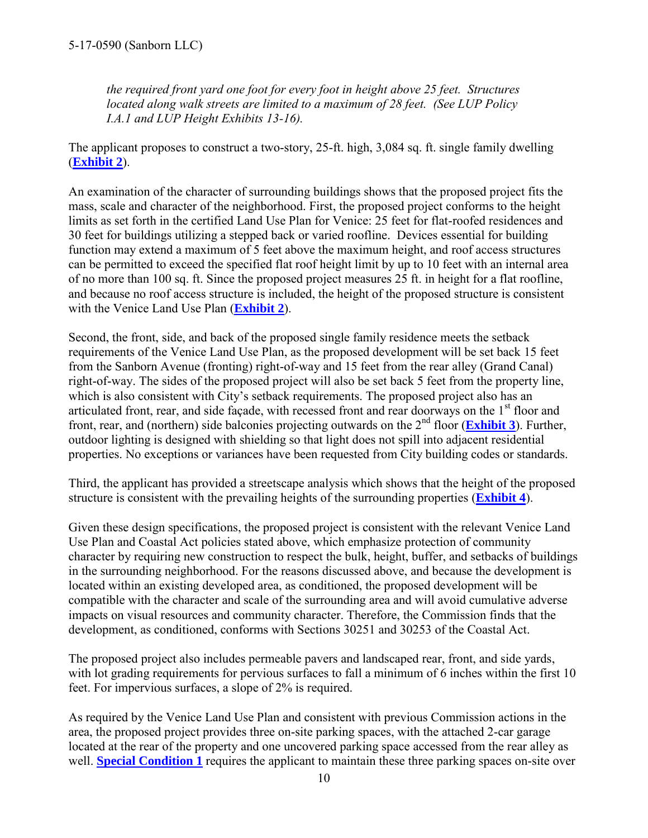*the required front yard one foot for every foot in height above 25 feet. Structures located along walk streets are limited to a maximum of 28 feet. (See LUP Policy I.A.1 and LUP Height Exhibits 13-16).* 

The applicant proposes to construct a two-story, 25-ft. high, 3,084 sq. ft. single family dwelling (**[Exhibit 2](https://documents.coastal.ca.gov/reports/2017/11/th26a/th26a-11-2017-exhibits.pdf)**).

An examination of the character of surrounding buildings shows that the proposed project fits the mass, scale and character of the neighborhood. First, the proposed project conforms to the height limits as set forth in the certified Land Use Plan for Venice: 25 feet for flat-roofed residences and 30 feet for buildings utilizing a stepped back or varied roofline. Devices essential for building function may extend a maximum of 5 feet above the maximum height, and roof access structures can be permitted to exceed the specified flat roof height limit by up to 10 feet with an internal area of no more than 100 sq. ft. Since the proposed project measures 25 ft. in height for a flat roofline, and because no roof access structure is included, the height of the proposed structure is consistent with the Venice Land Use Plan (**[Exhibit 2](https://documents.coastal.ca.gov/reports/2017/11/th26a/th26a-11-2017-exhibits.pdf)**).

Second, the front, side, and back of the proposed single family residence meets the setback requirements of the Venice Land Use Plan, as the proposed development will be set back 15 feet from the Sanborn Avenue (fronting) right-of-way and 15 feet from the rear alley (Grand Canal) right-of-way. The sides of the proposed project will also be set back 5 feet from the property line, which is also consistent with City's setback requirements. The proposed project also has an articulated front, rear, and side facade, with recessed front and rear doorways on the 1<sup>st</sup> floor and front, rear, and (northern) side balconies projecting outwards on the  $2<sup>nd</sup>$  floor (**[Exhibit 3](https://documents.coastal.ca.gov/reports/2017/11/th26a/th26a-11-2017-exhibits.pdf)**). Further, outdoor lighting is designed with shielding so that light does not spill into adjacent residential properties. No exceptions or variances have been requested from City building codes or standards.

Third, the applicant has provided a streetscape analysis which shows that the height of the proposed structure is consistent with the prevailing heights of the surrounding properties (**[Exhibit 4](https://documents.coastal.ca.gov/reports/2017/11/th26a/th26a-11-2017-exhibits.pdf)**).

Given these design specifications, the proposed project is consistent with the relevant Venice Land Use Plan and Coastal Act policies stated above, which emphasize protection of community character by requiring new construction to respect the bulk, height, buffer, and setbacks of buildings in the surrounding neighborhood. For the reasons discussed above, and because the development is located within an existing developed area, as conditioned, the proposed development will be compatible with the character and scale of the surrounding area and will avoid cumulative adverse impacts on visual resources and community character. Therefore, the Commission finds that the development, as conditioned, conforms with Sections 30251 and 30253 of the Coastal Act.

The proposed project also includes permeable pavers and landscaped rear, front, and side yards, with lot grading requirements for pervious surfaces to fall a minimum of 6 inches within the first 10 feet. For impervious surfaces, a slope of 2% is required.

As required by the Venice Land Use Plan and consistent with previous Commission actions in the area, the proposed project provides three on-site parking spaces, with the attached 2-car garage located at the rear of the property and one uncovered parking space accessed from the rear alley as well. **[Special Condition 1](#page-4-1)** requires the applicant to maintain these three parking spaces on-site over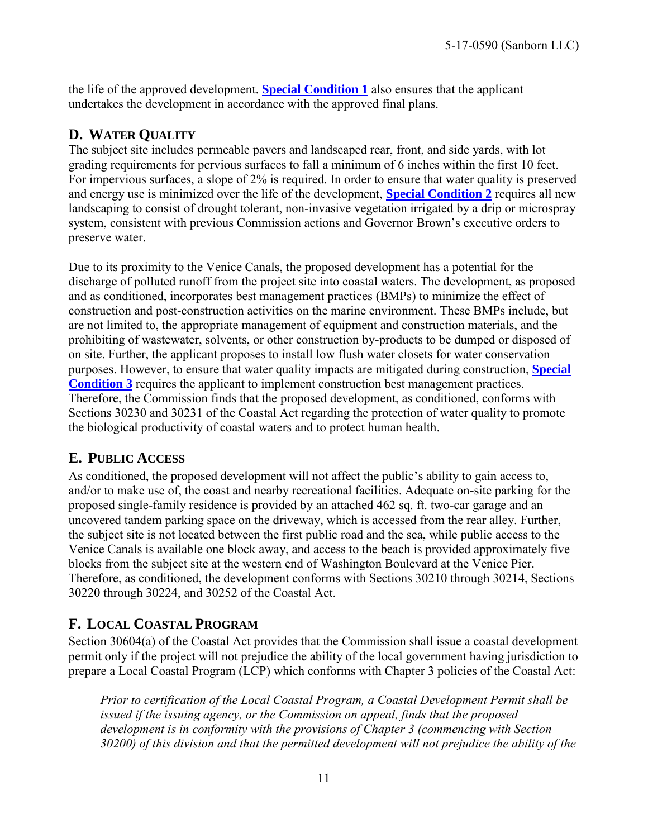the life of the approved development. **[Special Condition 1](#page-4-1)** also ensures that the applicant undertakes the development in accordance with the approved final plans.

### <span id="page-10-0"></span>**D. WATER QUALITY**

The subject site includes permeable pavers and landscaped rear, front, and side yards, with lot grading requirements for pervious surfaces to fall a minimum of 6 inches within the first 10 feet. For impervious surfaces, a slope of 2% is required. In order to ensure that water quality is preserved and energy use is minimized over the life of the development, **[Special Condition 2](#page-4-2)** requires all new landscaping to consist of drought tolerant, non-invasive vegetation irrigated by a drip or microspray system, consistent with previous Commission actions and Governor Brown's executive orders to preserve water.

Due to its proximity to the Venice Canals, the proposed development has a potential for the discharge of polluted runoff from the project site into coastal waters. The development, as proposed and as conditioned, incorporates best management practices (BMPs) to minimize the effect of construction and post-construction activities on the marine environment. These BMPs include, but are not limited to, the appropriate management of equipment and construction materials, and the prohibiting of wastewater, solvents, or other construction by-products to be dumped or disposed of on site. Further, the applicant proposes to install low flush water closets for water conservation purposes. However, to ensure that water quality impacts are mitigated during construction, **[Special](#page-4-3)  [Condition 3](#page-4-3)** requires the applicant to implement construction best management practices. Therefore, the Commission finds that the proposed development, as conditioned, conforms with Sections 30230 and 30231 of the Coastal Act regarding the protection of water quality to promote the biological productivity of coastal waters and to protect human health.

### <span id="page-10-1"></span>**E. PUBLIC ACCESS**

As conditioned, the proposed development will not affect the public's ability to gain access to, and/or to make use of, the coast and nearby recreational facilities. Adequate on-site parking for the proposed single-family residence is provided by an attached 462 sq. ft. two-car garage and an uncovered tandem parking space on the driveway, which is accessed from the rear alley. Further, the subject site is not located between the first public road and the sea, while public access to the Venice Canals is available one block away, and access to the beach is provided approximately five blocks from the subject site at the western end of Washington Boulevard at the Venice Pier. Therefore, as conditioned, the development conforms with Sections 30210 through 30214, Sections 30220 through 30224, and 30252 of the Coastal Act.

## <span id="page-10-2"></span>**F. LOCAL COASTAL PROGRAM**

Section 30604(a) of the Coastal Act provides that the Commission shall issue a coastal development permit only if the project will not prejudice the ability of the local government having jurisdiction to prepare a Local Coastal Program (LCP) which conforms with Chapter 3 policies of the Coastal Act:

*Prior to certification of the Local Coastal Program, a Coastal Development Permit shall be issued if the issuing agency, or the Commission on appeal, finds that the proposed development is in conformity with the provisions of Chapter 3 (commencing with Section 30200) of this division and that the permitted development will not prejudice the ability of the*